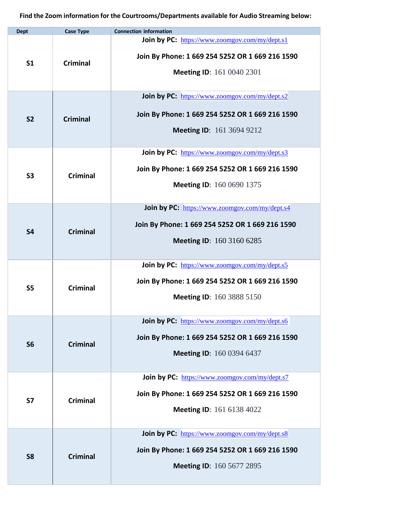| <b>Dept</b>    | <b>Case Type</b> | <b>Connection information</b>                                                                                                         |
|----------------|------------------|---------------------------------------------------------------------------------------------------------------------------------------|
| S <sub>1</sub> | <b>Criminal</b>  | Join by PC: https://www.zoomgov.com/my/dept.s1<br>Join By Phone: 1 669 254 5252 OR 1 669 216 1590<br><b>Meeting ID:</b> 161 0040 2301 |
| <b>S2</b>      | <b>Criminal</b>  | Join by PC: https://www.zoomgov.com/my/dept.s2<br>Join By Phone: 1 669 254 5252 OR 1 669 216 1590<br><b>Meeting ID: 161 3694 9212</b> |
| <b>S3</b>      | <b>Criminal</b>  | Join by PC: https://www.zoomgov.com/my/dept.s3<br>Join By Phone: 1 669 254 5252 OR 1 669 216 1590<br><b>Meeting ID:</b> 160 0690 1375 |
| <b>S4</b>      | <b>Criminal</b>  | Join by PC: https://www.zoomgov.com/my/dept.s4<br>Join By Phone: 1 669 254 5252 OR 1 669 216 1590<br><b>Meeting ID:</b> 160 3160 6285 |
| <b>S5</b>      | <b>Criminal</b>  | Join by PC: https://www.zoomgov.com/my/dept.s5<br>Join By Phone: 1 669 254 5252 OR 1 669 216 1590<br><b>Meeting ID:</b> 160 3888 5150 |
| <b>S6</b>      | <b>Criminal</b>  | Join by PC: https://www.zoomgov.com/my/dept.s6<br>Join By Phone: 1 669 254 5252 OR 1 669 216 1590<br><b>Meeting ID: 160 0394 6437</b> |
| <b>S7</b>      | <b>Criminal</b>  | Join by PC: https://www.zoomgov.com/my/dept.s7<br>Join By Phone: 1 669 254 5252 OR 1 669 216 1590<br><b>Meeting ID:</b> 161 6138 4022 |
| <b>S8</b>      | <b>Criminal</b>  | Join by PC: https://www.zoomgov.com/my/dept.s8<br>Join By Phone: 1 669 254 5252 OR 1 669 216 1590<br>Meeting ID: 160 5677 2895        |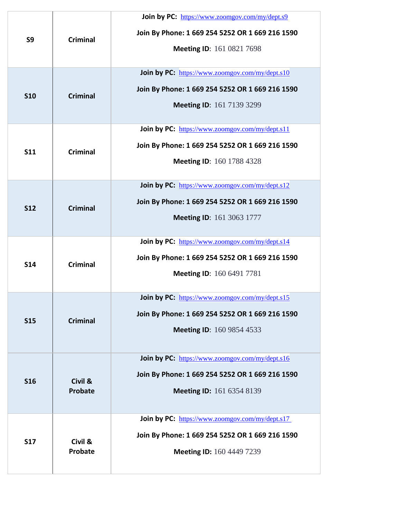| S9         | <b>Criminal</b>           | <b>Join by PC:</b> https://www.zoomgov.com/my/dept.s9<br>Join By Phone: 1 669 254 5252 OR 1 669 216 1590<br><b>Meeting ID:</b> 161 0821 7698  |
|------------|---------------------------|-----------------------------------------------------------------------------------------------------------------------------------------------|
| <b>S10</b> | <b>Criminal</b>           | Join by PC: https://www.zoomgov.com/my/dept.s10<br>Join By Phone: 1 669 254 5252 OR 1 669 216 1590<br><b>Meeting ID: 161 7139 3299</b>        |
| <b>S11</b> | <b>Criminal</b>           | Join by PC: https://www.zoomgov.com/my/dept.s11<br>Join By Phone: 1 669 254 5252 OR 1 669 216 1590<br><b>Meeting ID:</b> 160 1788 4328        |
| <b>S12</b> | <b>Criminal</b>           | Join by PC: https://www.zoomgov.com/my/dept.s12<br>Join By Phone: 1 669 254 5252 OR 1 669 216 1590<br><b>Meeting ID: 161 3063 1777</b>        |
| <b>S14</b> | <b>Criminal</b>           | Join by PC: https://www.zoomgov.com/my/dept.s14<br>Join By Phone: 1 669 254 5252 OR 1 669 216 1590<br><b>Meeting ID:</b> 160 6491 7781        |
| <b>S15</b> | <b>Criminal</b>           | Join by PC: https://www.zoomgov.com/my/dept.s15<br>Join By Phone: 1 669 254 5252 OR 1 669 216 1590<br><b>Meeting ID: 160 9854 4533</b>        |
| <b>S16</b> | Civil &<br><b>Probate</b> | <b>Join by PC:</b> https://www.zoomgov.com/my/dept.s16<br>Join By Phone: 1 669 254 5252 OR 1 669 216 1590<br><b>Meeting ID:</b> 161 6354 8139 |
| <b>S17</b> | Civil &<br><b>Probate</b> | <b>Join by PC:</b> https://www.zoomgov.com/my/dept.s17<br>Join By Phone: 1 669 254 5252 OR 1 669 216 1590<br><b>Meeting ID:</b> 160 4449 7239 |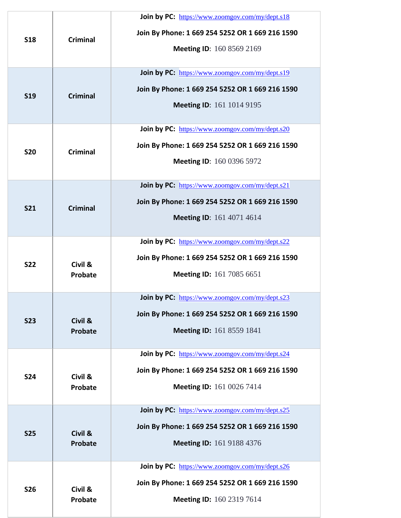| <b>S18</b> | <b>Criminal</b>           | Join by PC: https://www.zoomgov.com/my/dept.s18<br>Join By Phone: 1 669 254 5252 OR 1 669 216 1590<br><b>Meeting ID:</b> 160 8569 2169        |
|------------|---------------------------|-----------------------------------------------------------------------------------------------------------------------------------------------|
| <b>S19</b> | <b>Criminal</b>           | Join by PC: https://www.zoomgov.com/my/dept.s19<br>Join By Phone: 1 669 254 5252 OR 1 669 216 1590<br><b>Meeting ID:</b> 161 1014 9195        |
| <b>S20</b> | <b>Criminal</b>           | Join by PC: https://www.zoomgov.com/my/dept.s20<br>Join By Phone: 1 669 254 5252 OR 1 669 216 1590<br><b>Meeting ID:</b> 160 0396 5972        |
| <b>S21</b> | <b>Criminal</b>           | Join by PC: https://www.zoomgov.com/my/dept.s21<br>Join By Phone: 1 669 254 5252 OR 1 669 216 1590<br><b>Meeting ID:</b> 161 4071 4614        |
| <b>S22</b> | Civil &<br>Probate        | Join by PC: https://www.zoomgov.com/my/dept.s22<br>Join By Phone: 1 669 254 5252 OR 1 669 216 1590<br><b>Meeting ID:</b> 161 7085 6651        |
| <b>S23</b> | Civil &<br><b>Probate</b> | <b>Join by PC:</b> https://www.zoomgov.com/my/dept.s23<br>Join By Phone: 1 669 254 5252 OR 1 669 216 1590<br><b>Meeting ID:</b> 161 8559 1841 |
| <b>S24</b> | Civil &<br>Probate        | Join by PC: https://www.zoomgov.com/my/dept.s24<br>Join By Phone: 1 669 254 5252 OR 1 669 216 1590<br><b>Meeting ID:</b> 161 0026 7414        |
| <b>S25</b> | Civil &<br><b>Probate</b> | Join by PC: https://www.zoomgov.com/my/dept.s25<br>Join By Phone: 1 669 254 5252 OR 1 669 216 1590<br><b>Meeting ID:</b> 161 9188 4376        |
| <b>S26</b> | Civil &<br>Probate        | Join by PC: https://www.zoomgov.com/my/dept.s26<br>Join By Phone: 1 669 254 5252 OR 1 669 216 1590<br><b>Meeting ID:</b> 160 2319 7614        |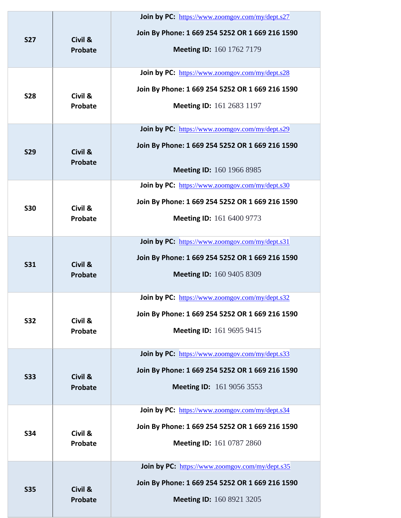|            |                           | <b>Join by PC:</b> https://www.zoomgov.com/my/dept.s27 |
|------------|---------------------------|--------------------------------------------------------|
| <b>S27</b> | Civil &<br><b>Probate</b> | Join By Phone: 1 669 254 5252 OR 1 669 216 1590        |
|            |                           | <b>Meeting ID:</b> 160 1762 7179                       |
|            |                           | Join by PC: https://www.zoomgov.com/my/dept.s28        |
| <b>S28</b> | Civil &                   | Join By Phone: 1 669 254 5252 OR 1 669 216 1590        |
|            | Probate                   | <b>Meeting ID:</b> 161 2683 1197                       |
|            |                           | Join by PC: https://www.zoomgov.com/my/dept.s29        |
| <b>S29</b> | Civil &<br>Probate        | Join By Phone: 1 669 254 5252 OR 1 669 216 1590        |
|            |                           | Meeting ID: 160 1966 8985                              |
|            |                           | Join by PC: https://www.zoomgov.com/my/dept.s30        |
| <b>S30</b> | Civil &                   | Join By Phone: 1 669 254 5252 OR 1 669 216 1590        |
|            | <b>Probate</b>            | <b>Meeting ID:</b> 161 6400 9773                       |
|            |                           | Join by PC: https://www.zoomgov.com/my/dept.s31        |
| <b>S31</b> | Civil &<br><b>Probate</b> | Join By Phone: 1 669 254 5252 OR 1 669 216 1590        |
|            |                           | <b>Meeting ID:</b> 160 9405 8309                       |
|            |                           | <b>Join by PC:</b> https://www.zoomgov.com/my/dept.s32 |
| <b>S32</b> | Civil &<br>Probate        | Join By Phone: 1 669 254 5252 OR 1 669 216 1590        |
|            |                           | <b>Meeting ID:</b> 161 9695 9415                       |
|            |                           | Join by PC: https://www.zoomgov.com/my/dept.s33        |
| <b>S33</b> | Civil &<br>Probate        | Join By Phone: 1 669 254 5252 OR 1 669 216 1590        |
|            |                           | <b>Meeting ID:</b> 161 9056 3553                       |
|            |                           | Join by PC: https://www.zoomgov.com/my/dept.s34        |
| <b>S34</b> | Civil &<br><b>Probate</b> | Join By Phone: 1 669 254 5252 OR 1 669 216 1590        |
|            |                           | <b>Meeting ID:</b> 161 0787 2860                       |
|            |                           | Join by PC: https://www.zoomgov.com/my/dept.s35        |
| <b>S35</b> | Civil &                   | Join By Phone: 1 669 254 5252 OR 1 669 216 1590        |
|            | <b>Probate</b>            | <b>Meeting ID: 160 8921 3205</b>                       |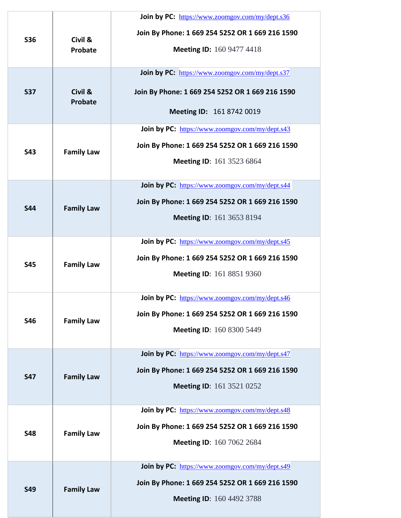| <b>S36</b> | Civil &<br>Probate | Join by PC: https://www.zoomgov.com/my/dept.s36<br>Join By Phone: 1 669 254 5252 OR 1 669 216 1590<br><b>Meeting ID: 160 9477 4418</b>        |
|------------|--------------------|-----------------------------------------------------------------------------------------------------------------------------------------------|
| <b>S37</b> | Civil &<br>Probate | Join by PC: https://www.zoomgov.com/my/dept.s37<br>Join By Phone: 1 669 254 5252 OR 1 669 216 1590<br>Meeting ID: 161 8742 0019               |
| <b>S43</b> | <b>Family Law</b>  | Join by PC: https://www.zoomgov.com/my/dept.s43<br>Join By Phone: 1 669 254 5252 OR 1 669 216 1590<br><b>Meeting ID: 161 3523 6864</b>        |
| <b>S44</b> | <b>Family Law</b>  | Join by PC: https://www.zoomgov.com/my/dept.s44<br>Join By Phone: 1 669 254 5252 OR 1 669 216 1590<br><b>Meeting ID:</b> 161 3653 8194        |
| <b>S45</b> | <b>Family Law</b>  | Join by PC: https://www.zoomgov.com/my/dept.s45<br>Join By Phone: 1 669 254 5252 OR 1 669 216 1590<br><b>Meeting ID: 161 8851 9360</b>        |
| <b>S46</b> | <b>Family Law</b>  | <b>Join by PC:</b> https://www.zoomgov.com/my/dept.s46<br>Join By Phone: 1 669 254 5252 OR 1 669 216 1590<br><b>Meeting ID: 160 8300 5449</b> |
| <b>S47</b> | <b>Family Law</b>  | Join by PC: https://www.zoomgov.com/my/dept.s47<br>Join By Phone: 1 669 254 5252 OR 1 669 216 1590<br>Meeting ID: 161 3521 0252               |
| <b>S48</b> | <b>Family Law</b>  | Join by PC: https://www.zoomgov.com/my/dept.s48<br>Join By Phone: 1 669 254 5252 OR 1 669 216 1590<br><b>Meeting ID: 160 7062 2684</b>        |
| <b>S49</b> | <b>Family Law</b>  | Join by PC: https://www.zoomgov.com/my/dept.s49<br>Join By Phone: 1 669 254 5252 OR 1 669 216 1590<br><b>Meeting ID: 160 4492 3788</b>        |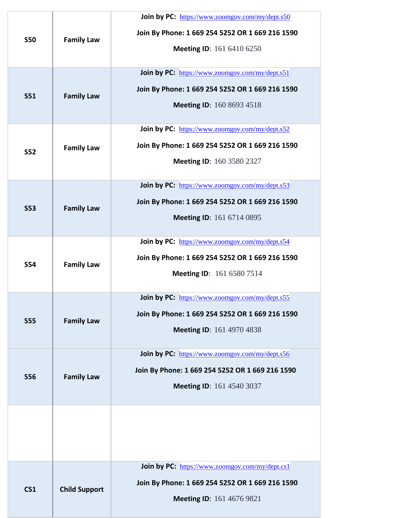| <b>S50</b>      | <b>Family Law</b>    | Join by PC: https://www.zoomgov.com/my/dept.s50<br>Join By Phone: 1 669 254 5252 OR 1 669 216 1590<br>Meeting ID: 161 6410 6250        |
|-----------------|----------------------|----------------------------------------------------------------------------------------------------------------------------------------|
| <b>S51</b>      | <b>Family Law</b>    | Join by PC: https://www.zoomgov.com/my/dept.s51<br>Join By Phone: 1 669 254 5252 OR 1 669 216 1590<br><b>Meeting ID:</b> 160 8693 4518 |
| <b>S52</b>      | <b>Family Law</b>    | Join by PC: https://www.zoomgov.com/my/dept.s52<br>Join By Phone: 1 669 254 5252 OR 1 669 216 1590<br><b>Meeting ID: 160 3580 2327</b> |
| <b>S53</b>      | <b>Family Law</b>    | Join by PC: https://www.zoomgov.com/my/dept.s53<br>Join By Phone: 1 669 254 5252 OR 1 669 216 1590<br><b>Meeting ID:</b> 161 6714 0895 |
| <b>S54</b>      | <b>Family Law</b>    | Join by PC: https://www.zoomgov.com/my/dept.s54<br>Join By Phone: 1 669 254 5252 OR 1 669 216 1590<br><b>Meeting ID:</b> 161 6580 7514 |
| <b>S55</b>      | <b>Family Law</b>    | Join by PC: https://www.zoomgov.com/my/dept.s55<br>Join By Phone: 1 669 254 5252 OR 1 669 216 1590<br>Meeting ID: 161 4970 4838        |
| <b>S56</b>      | <b>Family Law</b>    | Join by PC: https://www.zoomgov.com/my/dept.s56<br>Join By Phone: 1 669 254 5252 OR 1 669 216 1590<br><b>Meeting ID:</b> 161 4540 3037 |
|                 |                      |                                                                                                                                        |
| CS <sub>1</sub> | <b>Child Support</b> | Join by PC: https://www.zoomgov.com/my/dept.cs1<br>Join By Phone: 1 669 254 5252 OR 1 669 216 1590<br><b>Meeting ID:</b> 161 4676 9821 |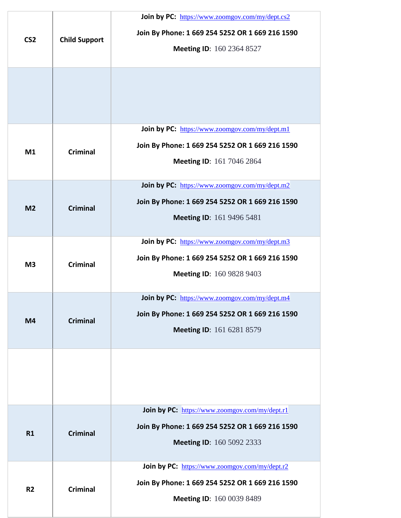| CS <sub>2</sub> | <b>Child Support</b> | Join by PC: https://www.zoomgov.com/my/dept.cs2<br>Join By Phone: 1 669 254 5252 OR 1 669 216 1590<br><b>Meeting ID: 160 2364 8527</b> |
|-----------------|----------------------|----------------------------------------------------------------------------------------------------------------------------------------|
|                 |                      |                                                                                                                                        |
| M1              | <b>Criminal</b>      | Join by PC: https://www.zoomgov.com/my/dept.ml<br>Join By Phone: 1 669 254 5252 OR 1 669 216 1590<br>Meeting ID: 161 7046 2864         |
| M <sub>2</sub>  | <b>Criminal</b>      | Join by PC: https://www.zoomgov.com/my/dept.m2<br>Join By Phone: 1 669 254 5252 OR 1 669 216 1590<br><b>Meeting ID:</b> 161 9496 5481  |
| M <sub>3</sub>  | <b>Criminal</b>      | Join by PC: https://www.zoomgov.com/my/dept.m3<br>Join By Phone: 1 669 254 5252 OR 1 669 216 1590<br>Meeting ID: 160 9828 9403         |
| M <sub>4</sub>  | <b>Criminal</b>      | Join by PC: https://www.zoomgov.com/my/dept.m4<br>Join By Phone: 1 669 254 5252 OR 1 669 216 1590<br><b>Meeting ID:</b> 161 6281 8579  |
|                 |                      |                                                                                                                                        |
| R1              | <b>Criminal</b>      | Join by PC: https://www.zoomgov.com/my/dept.r1<br>Join By Phone: 1 669 254 5252 OR 1 669 216 1590<br><b>Meeting ID: 160 5092 2333</b>  |
| R <sub>2</sub>  | <b>Criminal</b>      | Join by PC: https://www.zoomgov.com/my/dept.r2<br>Join By Phone: 1 669 254 5252 OR 1 669 216 1590<br>Meeting ID: 160 0039 8489         |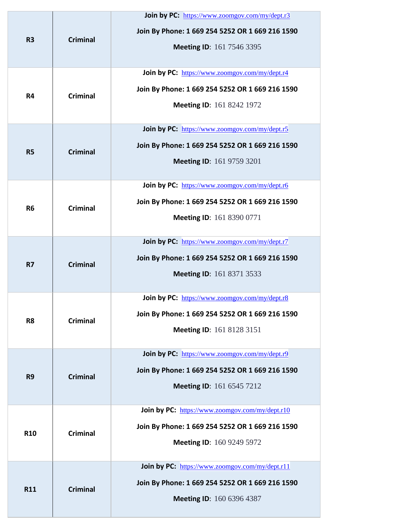| R <sub>3</sub> | <b>Criminal</b> | Join by PC: https://www.zoomgov.com/my/dept.r3<br>Join By Phone: 1 669 254 5252 OR 1 669 216 1590<br><b>Meeting ID:</b> 161 7546 3395         |
|----------------|-----------------|-----------------------------------------------------------------------------------------------------------------------------------------------|
| R4             | <b>Criminal</b> | Join by PC: https://www.zoomgov.com/my/dept.r4<br>Join By Phone: 1 669 254 5252 OR 1 669 216 1590<br><b>Meeting ID: 161 8242 1972</b>         |
| <b>R5</b>      | <b>Criminal</b> | Join by PC: https://www.zoomgov.com/my/dept.r5<br>Join By Phone: 1 669 254 5252 OR 1 669 216 1590<br><b>Meeting ID:</b> 161 9759 3201         |
| R <sub>6</sub> | <b>Criminal</b> | Join by PC: https://www.zoomgov.com/my/dept.r6<br>Join By Phone: 1 669 254 5252 OR 1 669 216 1590<br><b>Meeting ID: 161 8390 0771</b>         |
| <b>R7</b>      | <b>Criminal</b> | Join by PC: https://www.zoomgov.com/my/dept.r7<br>Join By Phone: 1 669 254 5252 OR 1 669 216 1590<br><b>Meeting ID: 161 8371 3533</b>         |
| R <sub>8</sub> | <b>Criminal</b> | <b>Join by PC:</b> https://www.zoomgov.com/my/dept.r8<br>Join By Phone: 1 669 254 5252 OR 1 669 216 1590<br>Meeting ID: 161 8128 3151         |
| R <sub>9</sub> | <b>Criminal</b> | Join by PC: https://www.zoomgov.com/my/dept.r9<br>Join By Phone: 1 669 254 5252 OR 1 669 216 1590<br><b>Meeting ID:</b> 161 6545 7212         |
| <b>R10</b>     | <b>Criminal</b> | <b>Join by PC:</b> https://www.zoomgov.com/my/dept.r10<br>Join By Phone: 1 669 254 5252 OR 1 669 216 1590<br><b>Meeting ID:</b> 160 9249 5972 |
| <b>R11</b>     | <b>Criminal</b> | Join by PC: https://www.zoomgov.com/my/dept.r11<br>Join By Phone: 1 669 254 5252 OR 1 669 216 1590<br>Meeting ID: 160 6396 4387               |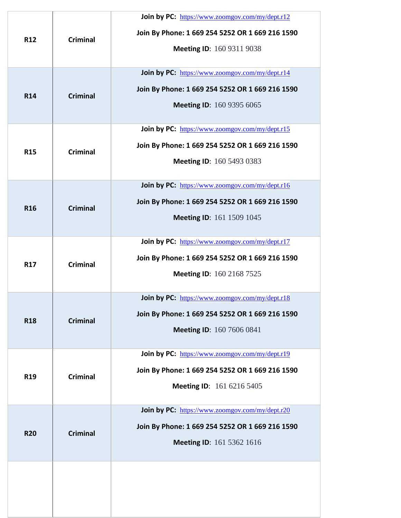| <b>R12</b> | <b>Criminal</b> | Join by PC: https://www.zoomgov.com/my/dept.r12<br>Join By Phone: 1 669 254 5252 OR 1 669 216 1590<br><b>Meeting ID: 160 9311 9038</b>        |
|------------|-----------------|-----------------------------------------------------------------------------------------------------------------------------------------------|
| <b>R14</b> | <b>Criminal</b> | Join by PC: https://www.zoomgov.com/my/dept.r14<br>Join By Phone: 1 669 254 5252 OR 1 669 216 1590<br><b>Meeting ID:</b> 160 9395 6065        |
| <b>R15</b> | <b>Criminal</b> | Join by PC: https://www.zoomgov.com/my/dept.r15<br>Join By Phone: 1 669 254 5252 OR 1 669 216 1590<br><b>Meeting ID: 160 5493 0383</b>        |
| <b>R16</b> | <b>Criminal</b> | <b>Join by PC:</b> https://www.zoomgov.com/my/dept.r16<br>Join By Phone: 1 669 254 5252 OR 1 669 216 1590<br><b>Meeting ID:</b> 161 1509 1045 |
| <b>R17</b> | <b>Criminal</b> | Join by PC: https://www.zoomgov.com/my/dept.r17<br>Join By Phone: 1 669 254 5252 OR 1 669 216 1590<br><b>Meeting ID:</b> 160 2168 7525        |
| <b>R18</b> | <b>Criminal</b> | <b>Join by PC:</b> https://www.zoomgov.com/my/dept.r18<br>Join By Phone: 1 669 254 5252 OR 1 669 216 1590<br><b>Meeting ID:</b> 160 7606 0841 |
| <b>R19</b> | <b>Criminal</b> | Join by PC: https://www.zoomgov.com/my/dept.r19<br>Join By Phone: 1 669 254 5252 OR 1 669 216 1590<br><b>Meeting ID:</b> 161 6216 5405        |
| <b>R20</b> | <b>Criminal</b> | Join by PC: https://www.zoomgov.com/my/dept.r20<br>Join By Phone: 1 669 254 5252 OR 1 669 216 1590<br><b>Meeting ID:</b> 161 5362 1616        |
|            |                 |                                                                                                                                               |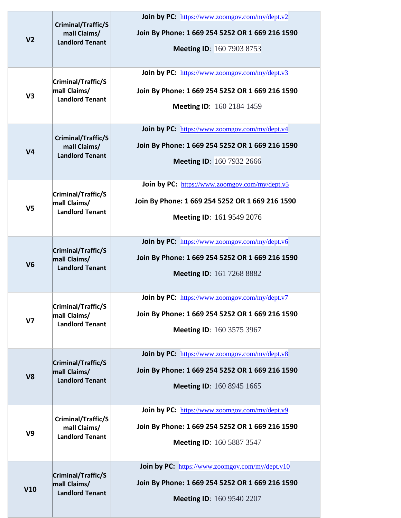| V <sub>2</sub> | Criminal/Traffic/S<br>mall Claims/<br><b>Landlord Tenant</b> | Join by PC: https://www.zoomgov.com/my/dept.v2<br>Join By Phone: 1 669 254 5252 OR 1 669 216 1590<br><b>Meeting ID: 160 7903 8753</b>  |
|----------------|--------------------------------------------------------------|----------------------------------------------------------------------------------------------------------------------------------------|
| V <sub>3</sub> | Criminal/Traffic/S<br>mall Claims/<br><b>Landlord Tenant</b> | Join by PC: https://www.zoomgov.com/my/dept.v3<br>Join By Phone: 1 669 254 5252 OR 1 669 216 1590<br><b>Meeting ID: 160 2184 1459</b>  |
| V <sub>4</sub> | Criminal/Traffic/S<br>mall Claims/<br><b>Landlord Tenant</b> | Join by PC: https://www.zoomgov.com/my/dept.v4<br>Join By Phone: 1 669 254 5252 OR 1 669 216 1590<br><b>Meeting ID: 160 7932 2666</b>  |
| V <sub>5</sub> | Criminal/Traffic/S<br>mall Claims/<br><b>Landlord Tenant</b> | Join by PC: https://www.zoomgov.com/my/dept.v5<br>Join By Phone: 1 669 254 5252 OR 1 669 216 1590<br><b>Meeting ID: 161 9549 2076</b>  |
| V <sub>6</sub> | Criminal/Traffic/S<br>mall Claims/<br><b>Landlord Tenant</b> | Join by PC: https://www.zoomgov.com/my/dept.v6<br>Join By Phone: 1 669 254 5252 OR 1 669 216 1590<br><b>Meeting ID: 161 7268 8882</b>  |
| V <sub>7</sub> | Criminal/Traffic/S<br>mall Claims/<br><b>Landlord Tenant</b> | Join by PC: https://www.zoomgov.com/my/dept.v7<br>Join By Phone: 1 669 254 5252 OR 1 669 216 1590<br><b>Meeting ID: 160 3575 3967</b>  |
| V <sub>8</sub> | Criminal/Traffic/S<br>mall Claims/<br><b>Landlord Tenant</b> | Join by PC: https://www.zoomgov.com/my/dept.v8<br>Join By Phone: 1 669 254 5252 OR 1 669 216 1590<br><b>Meeting ID:</b> 160 8945 1665  |
| V9             | Criminal/Traffic/S<br>mall Claims/<br><b>Landlord Tenant</b> | Join by PC: https://www.zoomgov.com/my/dept.v9<br>Join By Phone: 1 669 254 5252 OR 1 669 216 1590<br><b>Meeting ID: 160 5887 3547</b>  |
| V10            | Criminal/Traffic/S<br>mall Claims/<br><b>Landlord Tenant</b> | Join by PC: https://www.zoomgov.com/my/dept.v10<br>Join By Phone: 1 669 254 5252 OR 1 669 216 1590<br><b>Meeting ID: 160 9540 2207</b> |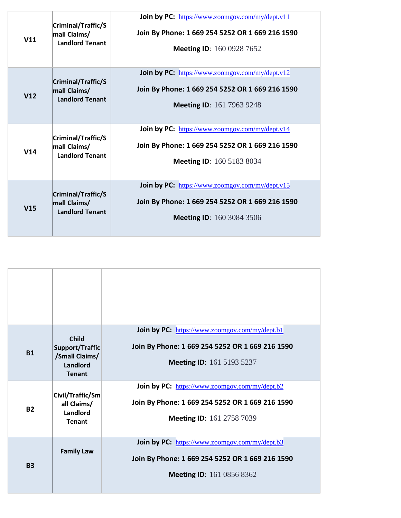| V11 | Criminal/Traffic/S<br>mall Claims/<br><b>Landlord Tenant</b> | Join by PC: https://www.zoomgov.com/my/dept.v11<br>Join By Phone: 1 669 254 5252 OR 1 669 216 1590<br><b>Meeting ID:</b> 160 0928 7652        |
|-----|--------------------------------------------------------------|-----------------------------------------------------------------------------------------------------------------------------------------------|
| V12 | Criminal/Traffic/S<br>mall Claims/<br><b>Landlord Tenant</b> | <b>Join by PC:</b> https://www.zoomgov.com/my/dept.v12<br>Join By Phone: 1 669 254 5252 OR 1 669 216 1590<br><b>Meeting ID:</b> 161 7963 9248 |
| V14 | Criminal/Traffic/S<br>mall Claims/<br><b>Landlord Tenant</b> | Join by PC: https://www.zoomgov.com/my/dept.v14<br>Join By Phone: 1 669 254 5252 OR 1 669 216 1590<br><b>Meeting ID:</b> 160 5183 8034        |
| V15 | Criminal/Traffic/S<br>mall Claims/<br><b>Landlord Tenant</b> | <b>Join by PC:</b> https://www.zoomgov.com/my/dept.v15<br>Join By Phone: 1 669 254 5252 OR 1 669 216 1590<br><b>Meeting ID:</b> 160 3084 3506 |

| <b>B1</b> | <b>Child</b><br>Support/Traffic<br>/Small Claims/<br>Landlord<br><b>Tenant</b> | Join by PC: https://www.zoomgov.com/my/dept.b1<br>Join By Phone: 1 669 254 5252 OR 1 669 216 1590<br><b>Meeting ID:</b> 161 5193 5237 |
|-----------|--------------------------------------------------------------------------------|---------------------------------------------------------------------------------------------------------------------------------------|
| <b>B2</b> | Civil/Traffic/Sm<br>all Claims/<br>Landlord<br><b>Tenant</b>                   | Join by PC: https://www.zoomgov.com/my/dept.b2<br>Join By Phone: 1 669 254 5252 OR 1 669 216 1590<br><b>Meeting ID: 161 2758 7039</b> |
| <b>B3</b> | <b>Family Law</b>                                                              | Join by PC: https://www.zoomgov.com/my/dept.b3<br>Join By Phone: 1 669 254 5252 OR 1 669 216 1590<br><b>Meeting ID:</b> 161 0856 8362 |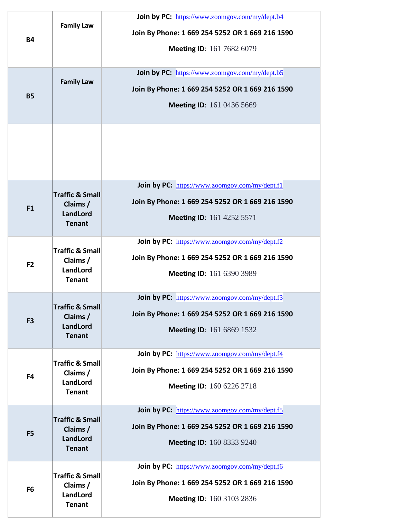| <b>B4</b>      | <b>Family Law</b>                                                   | Join by PC: https://www.zoomgov.com/my/dept.b4<br>Join By Phone: 1 669 254 5252 OR 1 669 216 1590<br><b>Meeting ID:</b> 161 7682 6079        |
|----------------|---------------------------------------------------------------------|----------------------------------------------------------------------------------------------------------------------------------------------|
| <b>B5</b>      | <b>Family Law</b>                                                   | Join by PC: https://www.zoomgov.com/my/dept.b5<br>Join By Phone: 1 669 254 5252 OR 1 669 216 1590<br><b>Meeting ID:</b> 161 0436 5669        |
|                |                                                                     |                                                                                                                                              |
| F1             | <b>Traffic &amp; Small</b><br>Claims /<br>LandLord<br><b>Tenant</b> | Join by PC: https://www.zoomgov.com/my/dept.f1<br>Join By Phone: 1 669 254 5252 OR 1 669 216 1590<br><b>Meeting ID:</b> 161 4252 5571        |
| F <sub>2</sub> | <b>Traffic &amp; Small</b><br>Claims /<br>LandLord<br><b>Tenant</b> | Join by PC: https://www.zoomgov.com/my/dept.f2<br>Join By Phone: 1 669 254 5252 OR 1 669 216 1590<br><b>Meeting ID: 161 6390 3989</b>        |
| F <sub>3</sub> | <b>Traffic &amp; Small</b><br>Claims /<br>LandLord<br><b>Tenant</b> | Join by PC: https://www.zoomgov.com/my/dept.f3<br>Join By Phone: 1 669 254 5252 OR 1 669 216 1590<br><b>Meeting ID:</b> 161 6869 1532        |
| F4             | <b>Traffic &amp; Small</b><br>Claims /<br>LandLord<br><b>Tenant</b> | Join by PC: https://www.zoomgov.com/my/dept.f4<br>Join By Phone: 1 669 254 5252 OR 1 669 216 1590<br><b>Meeting ID:</b> 160 6226 2718        |
| F <sub>5</sub> | <b>Traffic &amp; Small</b><br>Claims /<br>LandLord<br><b>Tenant</b> | Join by PC: https://www.zoomgov.com/my/dept.f5<br>Join By Phone: 1 669 254 5252 OR 1 669 216 1590<br><b>Meeting ID: 160 8333 9240</b>        |
| F <sub>6</sub> | <b>Traffic &amp; Small</b><br>Claims /<br>LandLord<br><b>Tenant</b> | <b>Join by PC:</b> https://www.zoomgov.com/my/dept.f6<br>Join By Phone: 1 669 254 5252 OR 1 669 216 1590<br><b>Meeting ID:</b> 160 3103 2836 |